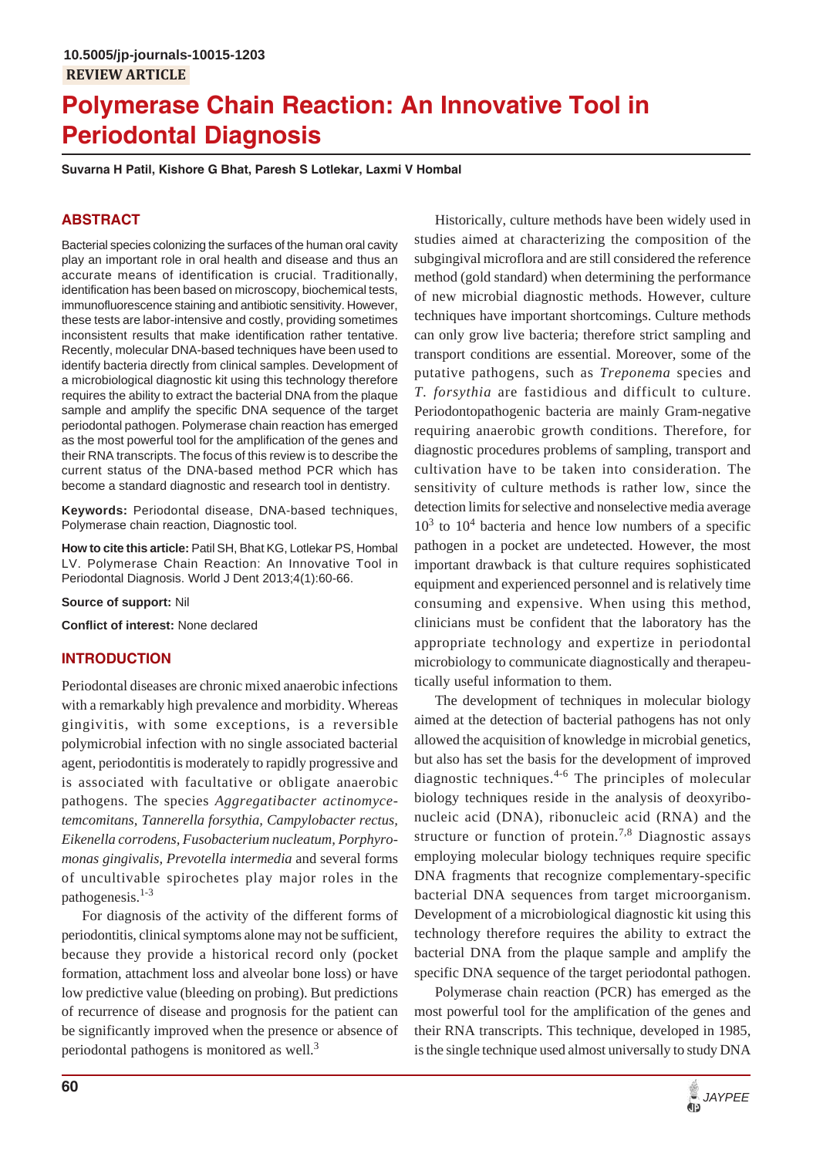# **Polymerase Chain Reaction: An Innovative Tool in Periodontal Diagnosis**

**Suvarna H Patil, Kishore G Bhat, Paresh S Lotlekar, Laxmi V Hombal**

## **ABSTRACT**

Bacterial species colonizing the surfaces of the human oral cavity play an important role in oral health and disease and thus an accurate means of identification is crucial. Traditionally, identification has been based on microscopy, biochemical tests, immunofluorescence staining and antibiotic sensitivity. However, these tests are labor-intensive and costly, providing sometimes inconsistent results that make identification rather tentative. Recently, molecular DNA-based techniques have been used to identify bacteria directly from clinical samples. Development of a microbiological diagnostic kit using this technology therefore requires the ability to extract the bacterial DNA from the plaque sample and amplify the specific DNA sequence of the target periodontal pathogen. Polymerase chain reaction has emerged as the most powerful tool for the amplification of the genes and their RNA transcripts. The focus of this review is to describe the current status of the DNA-based method PCR which has become a standard diagnostic and research tool in dentistry.

**Keywords:** Periodontal disease, DNA-based techniques, Polymerase chain reaction, Diagnostic tool.

**How to cite this article:** Patil SH, Bhat KG, Lotlekar PS, Hombal LV. Polymerase Chain Reaction: An Innovative Tool in Periodontal Diagnosis. World J Dent 2013;4(1):60-66.

**Source of support:** Nil

**Conflict of interest:** None declared

## **INTRODUCTION**

Periodontal diseases are chronic mixed anaerobic infections with a remarkably high prevalence and morbidity. Whereas gingivitis, with some exceptions, is a reversible polymicrobial infection with no single associated bacterial agent, periodontitis is moderately to rapidly progressive and is associated with facultative or obligate anaerobic pathogens. The species *Aggregatibacter actinomycetemcomitans, Tannerella forsythia, Campylobacter rectus, Eikenella corrodens, Fusobacterium nucleatum, Porphyromonas gingivalis, Prevotella intermedia* and several forms of uncultivable spirochetes play major roles in the pathogenesis.1-3

For diagnosis of the activity of the different forms of periodontitis, clinical symptoms alone may not be sufficient, because they provide a historical record only (pocket formation, attachment loss and alveolar bone loss) or have low predictive value (bleeding on probing). But predictions of recurrence of disease and prognosis for the patient can be significantly improved when the presence or absence of periodontal pathogens is monitored as well.<sup>3</sup>

Historically, culture methods have been widely used in studies aimed at characterizing the composition of the subgingival microflora and are still considered the reference method (gold standard) when determining the performance of new microbial diagnostic methods. However, culture techniques have important shortcomings. Culture methods can only grow live bacteria; therefore strict sampling and transport conditions are essential. Moreover, some of the putative pathogens, such as *Treponema* species and *T. forsythia* are fastidious and difficult to culture. Periodontopathogenic bacteria are mainly Gram-negative requiring anaerobic growth conditions. Therefore, for diagnostic procedures problems of sampling, transport and cultivation have to be taken into consideration. The sensitivity of culture methods is rather low, since the detection limits for selective and nonselective media average  $10<sup>3</sup>$  to  $10<sup>4</sup>$  bacteria and hence low numbers of a specific pathogen in a pocket are undetected. However, the most important drawback is that culture requires sophisticated equipment and experienced personnel and is relatively time consuming and expensive. When using this method, clinicians must be confident that the laboratory has the appropriate technology and expertize in periodontal microbiology to communicate diagnostically and therapeutically useful information to them.

The development of techniques in molecular biology aimed at the detection of bacterial pathogens has not only allowed the acquisition of knowledge in microbial genetics, but also has set the basis for the development of improved diagnostic techniques.<sup>4-6</sup> The principles of molecular biology techniques reside in the analysis of deoxyribonucleic acid (DNA), ribonucleic acid (RNA) and the structure or function of protein.<sup>7,8</sup> Diagnostic assays employing molecular biology techniques require specific DNA fragments that recognize complementary-specific bacterial DNA sequences from target microorganism. Development of a microbiological diagnostic kit using this technology therefore requires the ability to extract the bacterial DNA from the plaque sample and amplify the specific DNA sequence of the target periodontal pathogen.

Polymerase chain reaction (PCR) has emerged as the most powerful tool for the amplification of the genes and their RNA transcripts. This technique, developed in 1985, is the single technique used almost universally to study DNA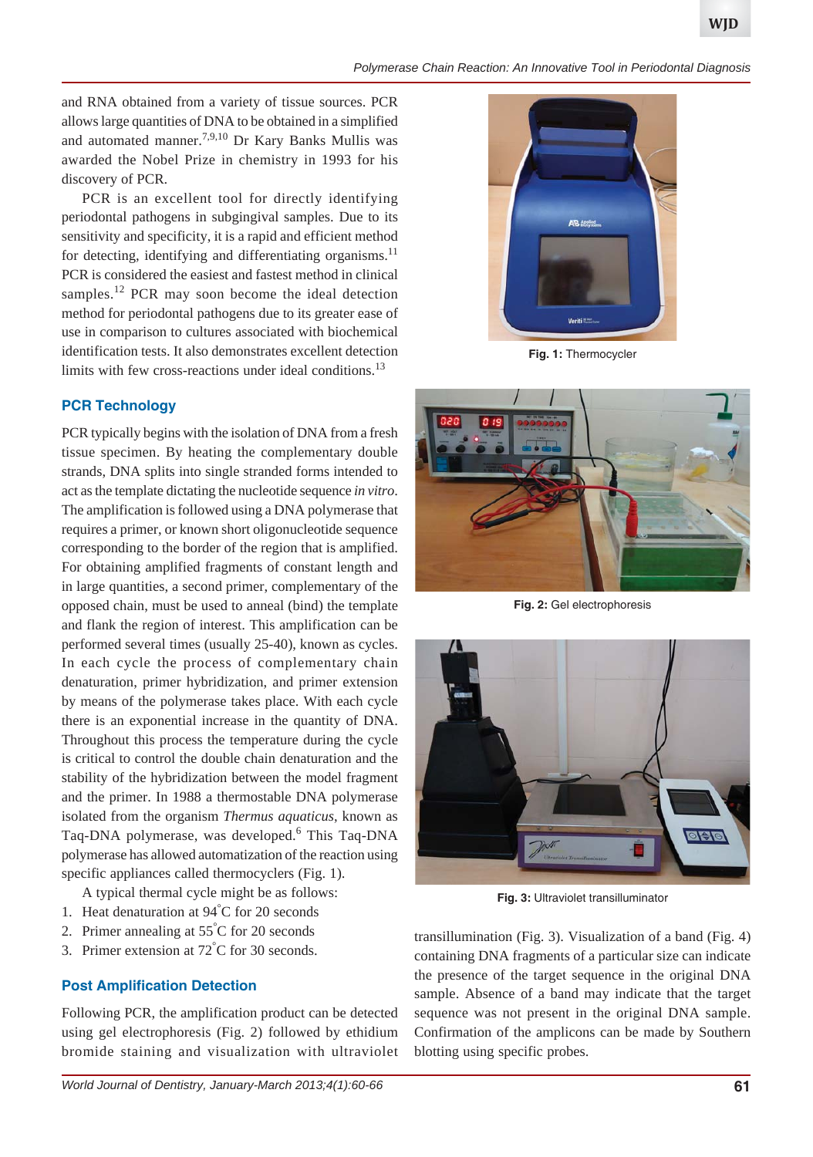#### *Polymerase Chain Reaction: An Innovative Tool in Periodontal Diagnosis*

**WJD**

and RNA obtained from a variety of tissue sources. PCR allows large quantities of DNA to be obtained in a simplified and automated manner.<sup>7,9,10</sup> Dr Kary Banks Mullis was awarded the Nobel Prize in chemistry in 1993 for his discovery of PCR.

PCR is an excellent tool for directly identifying periodontal pathogens in subgingival samples. Due to its sensitivity and specificity, it is a rapid and efficient method for detecting, identifying and differentiating organisms.<sup>11</sup> PCR is considered the easiest and fastest method in clinical samples.<sup>12</sup> PCR may soon become the ideal detection method for periodontal pathogens due to its greater ease of use in comparison to cultures associated with biochemical identification tests. It also demonstrates excellent detection limits with few cross-reactions under ideal conditions.<sup>13</sup>

# **PCR Technology**

PCR typically begins with the isolation of DNA from a fresh tissue specimen. By heating the complementary double strands, DNA splits into single stranded forms intended to act as the template dictating the nucleotide sequence *in vitro*. The amplification is followed using a DNA polymerase that requires a primer, or known short oligonucleotide sequence corresponding to the border of the region that is amplified. For obtaining amplified fragments of constant length and in large quantities, a second primer, complementary of the opposed chain, must be used to anneal (bind) the template and flank the region of interest. This amplification can be performed several times (usually 25-40), known as cycles. In each cycle the process of complementary chain denaturation, primer hybridization, and primer extension by means of the polymerase takes place. With each cycle there is an exponential increase in the quantity of DNA. Throughout this process the temperature during the cycle is critical to control the double chain denaturation and the stability of the hybridization between the model fragment and the primer. In 1988 a thermostable DNA polymerase isolated from the organism *Thermus aquaticus*, known as Taq-DNA polymerase, was developed.<sup>6</sup> This Taq-DNA polymerase has allowed automatization of the reaction using specific appliances called thermocyclers (Fig. 1).

A typical thermal cycle might be as follows:

- 1. Heat denaturation at 94° C for 20 seconds
- 2. Primer annealing at 55° C for 20 seconds
- 3. Primer extension at 72° C for 30 seconds.

# **Post Amplification Detection**

Following PCR, the amplification product can be detected using gel electrophoresis (Fig. 2) followed by ethidium bromide staining and visualization with ultraviolet



**Fig. 1:** Thermocycler



**Fig. 2:** Gel electrophoresis



**Fig. 3:** Ultraviolet transilluminator

transillumination (Fig. 3). Visualization of a band (Fig. 4) containing DNA fragments of a particular size can indicate the presence of the target sequence in the original DNA sample. Absence of a band may indicate that the target sequence was not present in the original DNA sample. Confirmation of the amplicons can be made by Southern blotting using specific probes.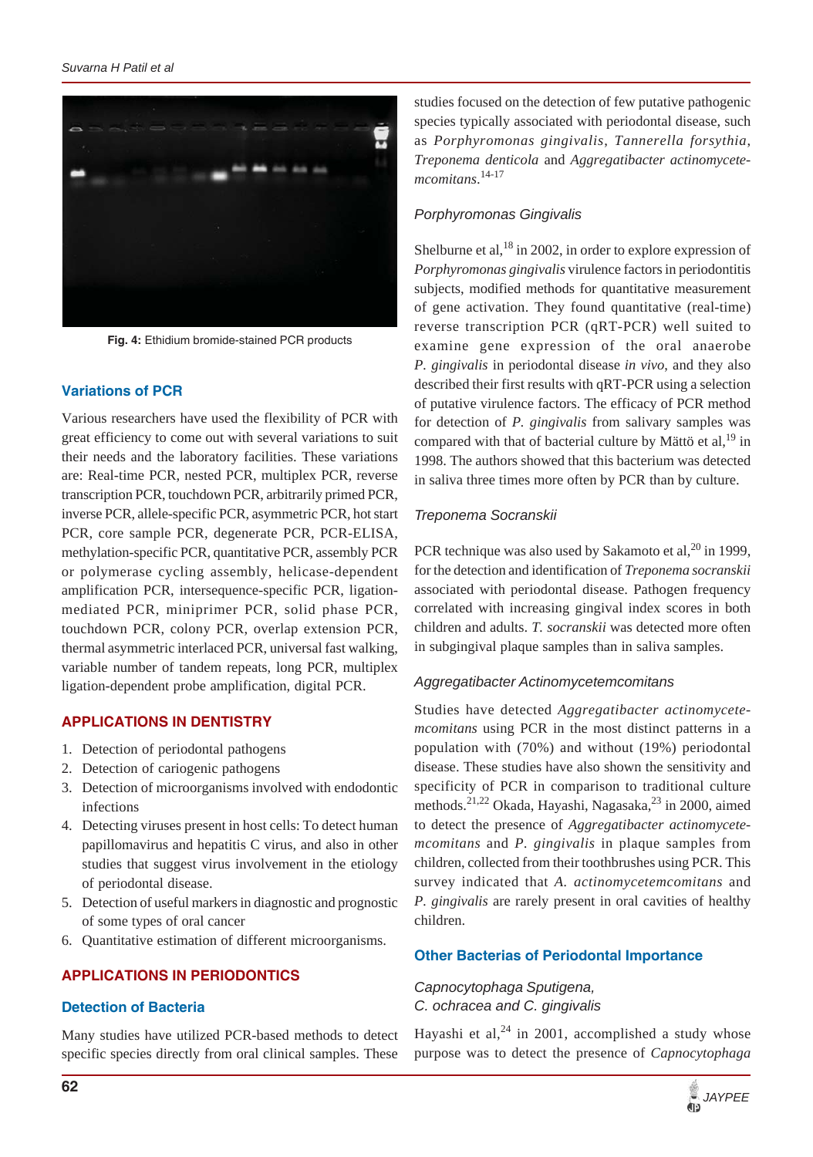

**Fig. 4:** Ethidium bromide-stained PCR products

# **Variations of PCR**

Various researchers have used the flexibility of PCR with great efficiency to come out with several variations to suit their needs and the laboratory facilities. These variations are: Real-time PCR, nested PCR, multiplex PCR, reverse transcription PCR, touchdown PCR, arbitrarily primed PCR, inverse PCR, allele-specific PCR, asymmetric PCR, hot start PCR, core sample PCR, degenerate PCR, PCR-ELISA, methylation-specific PCR, quantitative PCR, assembly PCR or polymerase cycling assembly, helicase-dependent amplification PCR, intersequence-specific PCR, ligationmediated PCR, miniprimer PCR, solid phase PCR, touchdown PCR, colony PCR, overlap extension PCR, thermal asymmetric interlaced PCR, universal fast walking, variable number of tandem repeats, long PCR, multiplex ligation-dependent probe amplification, digital PCR.

## **APPLICATIONS IN DENTISTRY**

- 1. Detection of periodontal pathogens
- 2. Detection of cariogenic pathogens
- 3. Detection of microorganisms involved with endodontic infections
- 4. Detecting viruses present in host cells: To detect human papillomavirus and hepatitis C virus, and also in other studies that suggest virus involvement in the etiology of periodontal disease.
- 5. Detection of useful markers in diagnostic and prognostic of some types of oral cancer
- 6. Quantitative estimation of different microorganisms.

# **APPLICATIONS IN PERIODONTICS**

#### **Detection of Bacteria**

Many studies have utilized PCR-based methods to detect specific species directly from oral clinical samples. These

studies focused on the detection of few putative pathogenic species typically associated with periodontal disease, such as *Porphyromonas gingivalis*, *Tannerella forsythia*, *Treponema denticola* and *Aggregatibacter actinomycetemcomitans*. 14-17

## *Porphyromonas Gingivalis*

Shelburne et al,  $^{18}$  in 2002, in order to explore expression of *Porphyromonas gingivalis* virulence factors in periodontitis subjects, modified methods for quantitative measurement of gene activation. They found quantitative (real-time) reverse transcription PCR (qRT-PCR) well suited to examine gene expression of the oral anaerobe *P. gingivalis* in periodontal disease *in vivo*, and they also described their first results with qRT-PCR using a selection of putative virulence factors. The efficacy of PCR method for detection of *P. gingivalis* from salivary samples was compared with that of bacterial culture by Mättö et  $al$ ,<sup>19</sup> in 1998. The authors showed that this bacterium was detected in saliva three times more often by PCR than by culture.

## *Treponema Socranskii*

PCR technique was also used by Sakamoto et al,  $^{20}$  in 1999, for the detection and identification of *Treponema socranskii* associated with periodontal disease. Pathogen frequency correlated with increasing gingival index scores in both children and adults. *T. socranskii* was detected more often in subgingival plaque samples than in saliva samples.

## *Aggregatibacter Actinomycetemcomitans*

Studies have detected *Aggregatibacter actinomycetemcomitans* using PCR in the most distinct patterns in a population with (70%) and without (19%) periodontal disease. These studies have also shown the sensitivity and specificity of PCR in comparison to traditional culture methods.<sup>21,22</sup> Okada, Hayashi, Nagasaka,<sup>23</sup> in 2000, aimed to detect the presence of *Aggregatibacter actinomycetemcomitans* and *P. gingivalis* in plaque samples from children, collected from their toothbrushes using PCR. This survey indicated that *A. actinomycetemcomitans* and *P. gingivalis* are rarely present in oral cavities of healthy children.

## **Other Bacterias of Periodontal Importance**

*Capnocytophaga Sputigena, C. ochracea and C. gingivalis*

Hayashi et al,  $24$  in 2001, accomplished a study whose purpose was to detect the presence of *Capnocytophaga*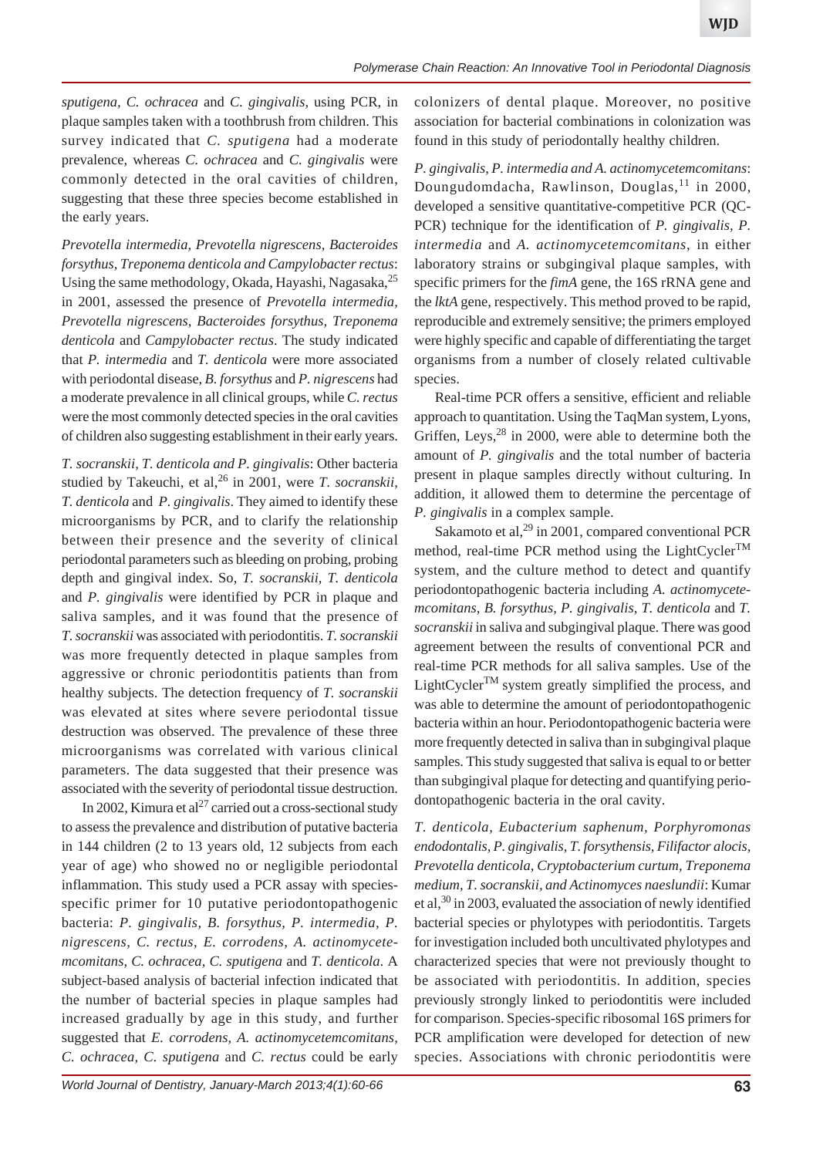*sputigena, C. ochracea* and *C. gingivalis,* using PCR, in plaque samples taken with a toothbrush from children. This survey indicated that *C. sputigena* had a moderate prevalence, whereas *C. ochracea* and *C. gingivalis* were commonly detected in the oral cavities of children, suggesting that these three species become established in the early years.

*Prevotella intermedia, Prevotella nigrescens, Bacteroides forsythus, Treponema denticola and Campylobacter rectus*: Using the same methodology, Okada, Hayashi, Nagasaka, <sup>25</sup> in 2001, assessed the presence of *Prevotella intermedia, Prevotella nigrescens, Bacteroides forsythus, Treponema denticola* and *Campylobacter rectus*. The study indicated that *P. intermedia* and *T. denticola* were more associated with periodontal disease, *B. forsythus* and *P. nigrescens* had a moderate prevalence in all clinical groups, while *C. rectus* were the most commonly detected species in the oral cavities of children also suggesting establishment in their early years.

*T. socranskii, T. denticola and P. gingivalis*: Other bacteria studied by Takeuchi, et al,<sup>26</sup> in 2001, were *T. socranskii*, *T. denticola* and *P. gingivalis*. They aimed to identify these microorganisms by PCR, and to clarify the relationship between their presence and the severity of clinical periodontal parameters such as bleeding on probing, probing depth and gingival index. So, *T. socranskii, T. denticola* and *P. gingivalis* were identified by PCR in plaque and saliva samples, and it was found that the presence of *T. socranskii* was associated with periodontitis. *T. socranskii* was more frequently detected in plaque samples from aggressive or chronic periodontitis patients than from healthy subjects. The detection frequency of *T. socranskii* was elevated at sites where severe periodontal tissue destruction was observed. The prevalence of these three microorganisms was correlated with various clinical parameters. The data suggested that their presence was associated with the severity of periodontal tissue destruction.

In 2002, Kimura et al<sup>27</sup> carried out a cross-sectional study to assess the prevalence and distribution of putative bacteria in 144 children (2 to 13 years old, 12 subjects from each year of age) who showed no or negligible periodontal inflammation. This study used a PCR assay with speciesspecific primer for 10 putative periodontopathogenic bacteria: *P. gingivalis, B. forsythus, P. intermedia, P. nigrescens, C. rectus, E. corrodens, A. actinomycetemcomitans, C. ochracea, C. sputigena* and *T. denticola*. A subject-based analysis of bacterial infection indicated that the number of bacterial species in plaque samples had increased gradually by age in this study, and further suggested that *E. corrodens, A. actinomycetemcomitans, C. ochracea, C. sputigena* and *C. rectus* could be early colonizers of dental plaque. Moreover, no positive association for bacterial combinations in colonization was found in this study of periodontally healthy children.

*P. gingivalis, P. intermedia and A. actinomycetemcomitans*: Doungudomdacha, Rawlinson, Douglas, $^{11}$  in 2000, developed a sensitive quantitative-competitive PCR (QC-PCR) technique for the identification of *P. gingivalis, P. intermedia* and *A. actinomycetemcomitans*, in either laboratory strains or subgingival plaque samples, with specific primers for the *fimA* gene, the 16S rRNA gene and the *lktA* gene, respectively. This method proved to be rapid, reproducible and extremely sensitive; the primers employed were highly specific and capable of differentiating the target organisms from a number of closely related cultivable species.

Real-time PCR offers a sensitive, efficient and reliable approach to quantitation. Using the TaqMan system, Lyons, Griffen, Leys,  $28$  in 2000, were able to determine both the amount of *P. gingivalis* and the total number of bacteria present in plaque samples directly without culturing. In addition, it allowed them to determine the percentage of *P. gingivalis* in a complex sample.

Sakamoto et al, $^{29}$  in 2001, compared conventional PCR method, real-time PCR method using the LightCycler<sup>TM</sup> system, and the culture method to detect and quantify periodontopathogenic bacteria including *A. actinomycetemcomitans, B. forsythus, P. gingivalis, T. denticola* and *T. socranskii* in saliva and subgingival plaque. There was good agreement between the results of conventional PCR and real-time PCR methods for all saliva samples. Use of the LightCycler<sup>TM</sup> system greatly simplified the process, and was able to determine the amount of periodontopathogenic bacteria within an hour. Periodontopathogenic bacteria were more frequently detected in saliva than in subgingival plaque samples. This study suggested that saliva is equal to or better than subgingival plaque for detecting and quantifying periodontopathogenic bacteria in the oral cavity.

*T. denticola, Eubacterium saphenum, Porphyromonas endodontalis, P. gingivalis, T. forsythensis, Filifactor alocis, Prevotella denticola, Cryptobacterium curtum, Treponema medium, T. socranskii, and Actinomyces naeslundii*: Kumar et al,  $30$  in 2003, evaluated the association of newly identified bacterial species or phylotypes with periodontitis. Targets for investigation included both uncultivated phylotypes and characterized species that were not previously thought to be associated with periodontitis. In addition, species previously strongly linked to periodontitis were included for comparison. Species-specific ribosomal 16S primers for PCR amplification were developed for detection of new species. Associations with chronic periodontitis were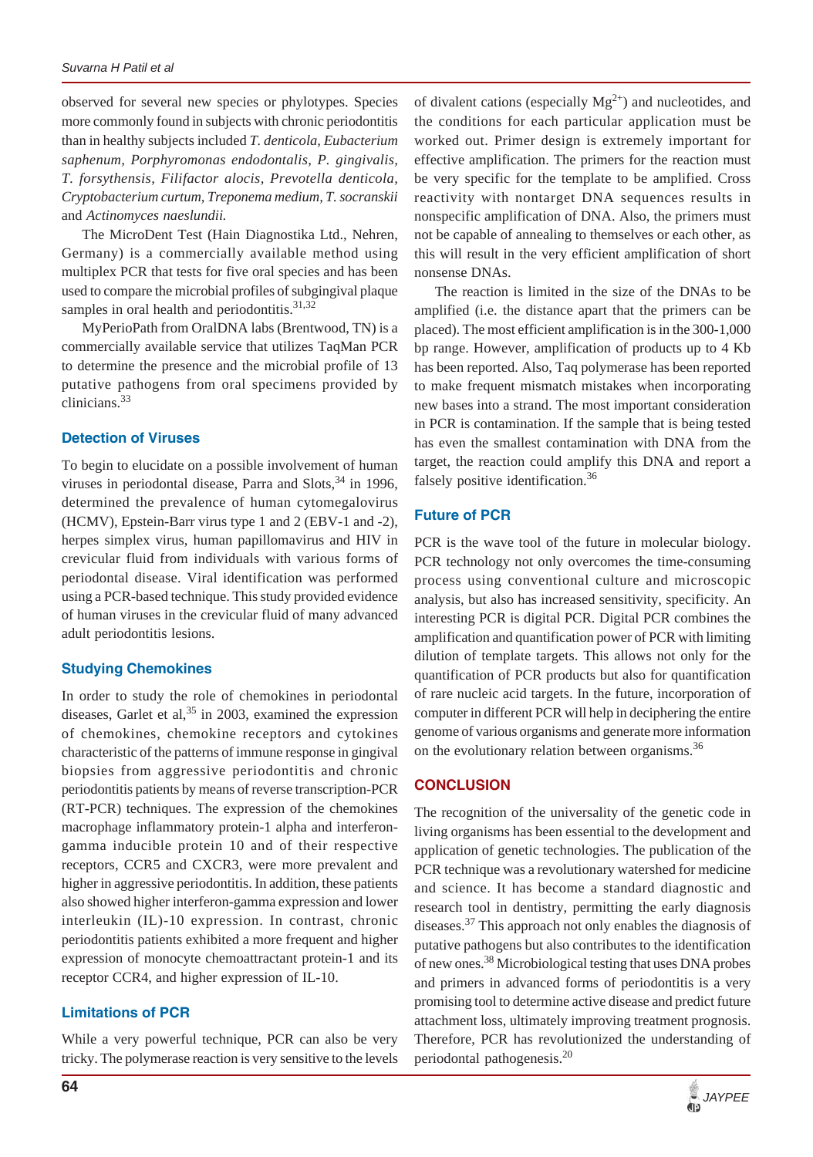observed for several new species or phylotypes. Species more commonly found in subjects with chronic periodontitis than in healthy subjects included *T. denticola, Eubacterium saphenum, Porphyromonas endodontalis, P. gingivalis, T. forsythensis, Filifactor alocis, Prevotella denticola, Cryptobacterium curtum, Treponema medium, T. socranskii* and *Actinomyces naeslundii.*

The MicroDent Test (Hain Diagnostika Ltd., Nehren, Germany) is a commercially available method using multiplex PCR that tests for five oral species and has been used to compare the microbial profiles of subgingival plaque samples in oral health and periodontitis. $31,32$ 

MyPerioPath from OralDNA labs (Brentwood, TN) is a commercially available service that utilizes TaqMan PCR to determine the presence and the microbial profile of 13 putative pathogens from oral specimens provided by clinicians.<sup>33</sup>

#### **Detection of Viruses**

To begin to elucidate on a possible involvement of human viruses in periodontal disease, Parra and Slots,  $34$  in 1996, determined the prevalence of human cytomegalovirus (HCMV), Epstein-Barr virus type 1 and 2 (EBV-1 and -2), herpes simplex virus, human papillomavirus and HIV in crevicular fluid from individuals with various forms of periodontal disease. Viral identification was performed using a PCR-based technique. This study provided evidence of human viruses in the crevicular fluid of many advanced adult periodontitis lesions.

#### **Studying Chemokines**

In order to study the role of chemokines in periodontal diseases, Garlet et al,  $35$  in 2003, examined the expression of chemokines, chemokine receptors and cytokines characteristic of the patterns of immune response in gingival biopsies from aggressive periodontitis and chronic periodontitis patients by means of reverse transcription-PCR (RT-PCR) techniques. The expression of the chemokines macrophage inflammatory protein-1 alpha and interferongamma inducible protein 10 and of their respective receptors, CCR5 and CXCR3, were more prevalent and higher in aggressive periodontitis. In addition, these patients also showed higher interferon-gamma expression and lower interleukin (IL)-10 expression. In contrast, chronic periodontitis patients exhibited a more frequent and higher expression of monocyte chemoattractant protein-1 and its receptor CCR4, and higher expression of IL-10.

#### **Limitations of PCR**

While a very powerful technique, PCR can also be very tricky. The polymerase reaction is very sensitive to the levels of divalent cations (especially  $Mg^{2+}$ ) and nucleotides, and the conditions for each particular application must be worked out. Primer design is extremely important for effective amplification. The primers for the reaction must be very specific for the template to be amplified. Cross reactivity with nontarget DNA sequences results in nonspecific amplification of DNA. Also, the primers must not be capable of annealing to themselves or each other, as this will result in the very efficient amplification of short nonsense DNAs.

The reaction is limited in the size of the DNAs to be amplified (i.e. the distance apart that the primers can be placed). The most efficient amplification is in the 300-1,000 bp range. However, amplification of products up to 4 Kb has been reported. Also, Taq polymerase has been reported to make frequent mismatch mistakes when incorporating new bases into a strand. The most important consideration in PCR is contamination. If the sample that is being tested has even the smallest contamination with DNA from the target, the reaction could amplify this DNA and report a falsely positive identification.<sup>36</sup>

#### **Future of PCR**

PCR is the wave tool of the future in molecular biology. PCR technology not only overcomes the time-consuming process using conventional culture and microscopic analysis, but also has increased sensitivity, specificity. An interesting PCR is digital PCR. Digital PCR combines the amplification and quantification power of PCR with limiting dilution of template targets. This allows not only for the quantification of PCR products but also for quantification of rare nucleic acid targets. In the future, incorporation of computer in different PCR will help in deciphering the entire genome of various organisms and generate more information on the evolutionary relation between organisms.<sup>36</sup>

#### **CONCLUSION**

The recognition of the universality of the genetic code in living organisms has been essential to the development and application of genetic technologies. The publication of the PCR technique was a revolutionary watershed for medicine and science. It has become a standard diagnostic and research tool in dentistry, permitting the early diagnosis diseases.37 This approach not only enables the diagnosis of putative pathogens but also contributes to the identification of new ones.38 Microbiological testing that uses DNA probes and primers in advanced forms of periodontitis is a very promising tool to determine active disease and predict future attachment loss, ultimately improving treatment prognosis. Therefore, PCR has revolutionized the understanding of periodontal pathogenesis.20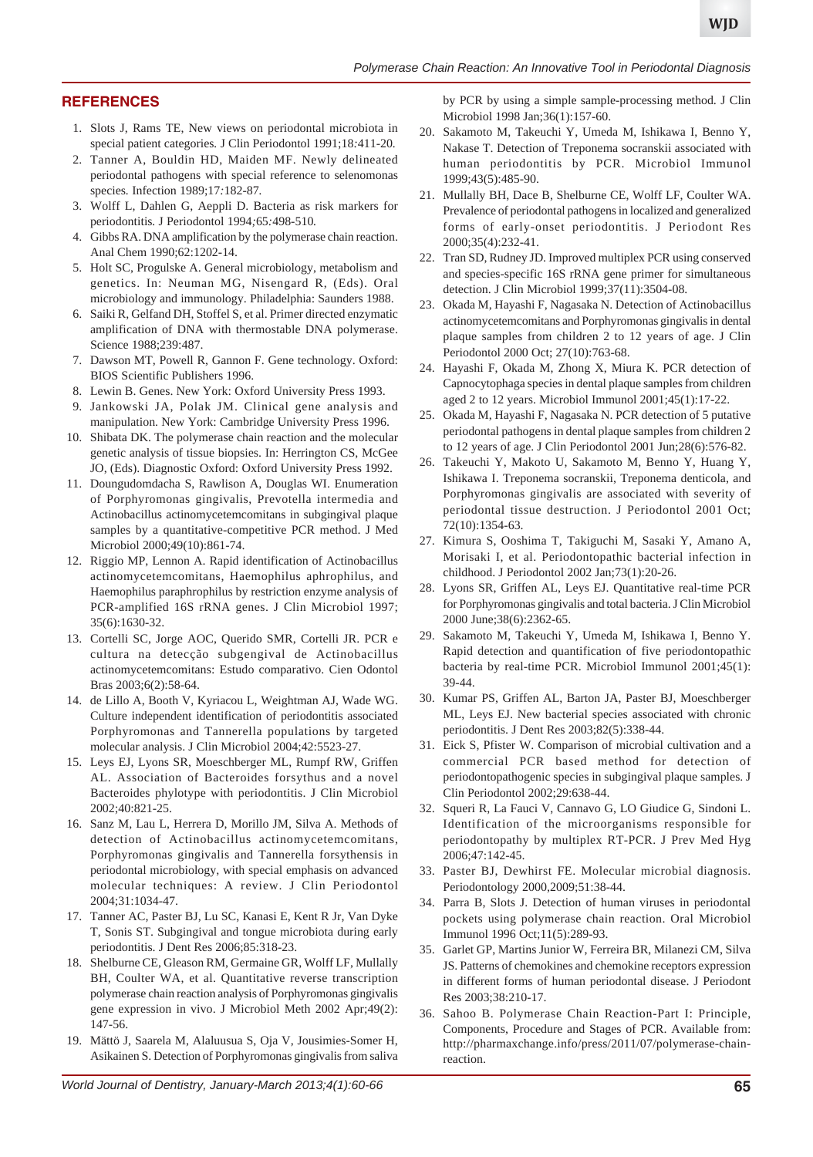## **REFERENCES**

- 1. Slots J, Rams TE, New views on periodontal microbiota in special patient categories*.* J Clin Periodontol 1991;18*:*411*-*20*.*
- 2. Tanner A, Bouldin HD, Maiden MF. Newly delineated periodontal pathogens with special reference to selenomonas species*.* Infection 1989;17*:*182*-*87*.*
- 3. Wolff L, Dahlen G, Aeppli D. Bacteria as risk markers for periodontitis*.* J Periodontol 1994*;*65*:*498*-*510*.*
- 4. Gibbs RA. DNA amplification by the polymerase chain reaction. Anal Chem 1990;62:1202-14.
- 5. Holt SC, Progulske A. General microbiology, metabolism and genetics. In: Neuman MG, Nisengard R, (Eds). Oral microbiology and immunology. Philadelphia: Saunders 1988.
- 6. Saiki R, Gelfand DH, Stoffel S, et al. Primer directed enzymatic amplification of DNA with thermostable DNA polymerase. Science 1988;239:487.
- 7. Dawson MT, Powell R, Gannon F. Gene technology. Oxford: BIOS Scientific Publishers 1996.
- 8. Lewin B. Genes. New York: Oxford University Press 1993.
- 9. Jankowski JA, Polak JM. Clinical gene analysis and manipulation. New York: Cambridge University Press 1996.
- 10. Shibata DK. The polymerase chain reaction and the molecular genetic analysis of tissue biopsies. In: Herrington CS, McGee JO, (Eds). Diagnostic Oxford: Oxford University Press 1992.
- 11. Doungudomdacha S, Rawlison A, Douglas WI. Enumeration of Porphyromonas gingivalis, Prevotella intermedia and Actinobacillus actinomycetemcomitans in subgingival plaque samples by a quantitative-competitive PCR method. J Med Microbiol 2000;49(10):861-74.
- 12. Riggio MP, Lennon A. Rapid identification of Actinobacillus actinomycetemcomitans, Haemophilus aphrophilus, and Haemophilus paraphrophilus by restriction enzyme analysis of PCR-amplified 16S rRNA genes. J Clin Microbiol 1997; 35(6):1630-32.
- 13. Cortelli SC, Jorge AOC, Querido SMR, Cortelli JR. PCR e cultura na detecção subgengival de Actinobacillus actinomycetemcomitans: Estudo comparativo. Cien Odontol Bras 2003;6(2):58-64.
- 14. de Lillo A, Booth V, Kyriacou L, Weightman AJ, Wade WG. Culture independent identification of periodontitis associated Porphyromonas and Tannerella populations by targeted molecular analysis. J Clin Microbiol 2004;42:5523-27.
- 15. Leys EJ, Lyons SR, Moeschberger ML, Rumpf RW, Griffen AL. Association of Bacteroides forsythus and a novel Bacteroides phylotype with periodontitis. J Clin Microbiol 2002;40:821-25.
- 16. Sanz M, Lau L, Herrera D, Morillo JM, Silva A. Methods of detection of Actinobacillus actinomycetemcomitans, Porphyromonas gingivalis and Tannerella forsythensis in periodontal microbiology, with special emphasis on advanced molecular techniques: A review. J Clin Periodontol 2004;31:1034-47.
- 17. Tanner AC, Paster BJ, Lu SC, Kanasi E, Kent R Jr, Van Dyke T, Sonis ST. Subgingival and tongue microbiota during early periodontitis. J Dent Res 2006;85:318-23.
- 18. Shelburne CE, Gleason RM, Germaine GR, Wolff LF, Mullally BH, Coulter WA, et al. Quantitative reverse transcription polymerase chain reaction analysis of Porphyromonas gingivalis gene expression in vivo. J Microbiol Meth 2002 Apr;49(2): 147-56.
- 19. Mättö J, Saarela M, Alaluusua S, Oja V, Jousimies-Somer H, Asikainen S. Detection of Porphyromonas gingivalis from saliva

by PCR by using a simple sample-processing method. J Clin Microbiol 1998 Jan;36(1):157-60.

- 20. Sakamoto M, Takeuchi Y, Umeda M, Ishikawa I, Benno Y, Nakase T. Detection of Treponema socranskii associated with human periodontitis by PCR. Microbiol Immunol 1999;43(5):485-90.
- 21. Mullally BH, Dace B, Shelburne CE, Wolff LF, Coulter WA. Prevalence of periodontal pathogens in localized and generalized forms of early-onset periodontitis. J Periodont Res 2000;35(4):232-41.
- 22. Tran SD, Rudney JD. Improved multiplex PCR using conserved and species-specific 16S rRNA gene primer for simultaneous detection. J Clin Microbiol 1999;37(11):3504-08.
- 23. Okada M, Hayashi F, Nagasaka N. Detection of Actinobacillus actinomycetemcomitans and Porphyromonas gingivalis in dental plaque samples from children 2 to 12 years of age. J Clin Periodontol 2000 Oct; 27(10):763-68.
- 24. Hayashi F, Okada M, Zhong X, Miura K. PCR detection of Capnocytophaga species in dental plaque samples from children aged 2 to 12 years. Microbiol Immunol 2001;45(1):17-22.
- 25. Okada M, Hayashi F, Nagasaka N. PCR detection of 5 putative periodontal pathogens in dental plaque samples from children 2 to 12 years of age. J Clin Periodontol 2001 Jun;28(6):576-82.
- 26. Takeuchi Y, Makoto U, Sakamoto M, Benno Y, Huang Y, Ishikawa I. Treponema socranskii, Treponema denticola, and Porphyromonas gingivalis are associated with severity of periodontal tissue destruction. J Periodontol 2001 Oct; 72(10):1354-63.
- 27. Kimura S, Ooshima T, Takiguchi M, Sasaki Y, Amano A, Morisaki I, et al. Periodontopathic bacterial infection in childhood. J Periodontol 2002 Jan;73(1):20-26.
- 28. Lyons SR, Griffen AL, Leys EJ. Quantitative real-time PCR for Porphyromonas gingivalis and total bacteria. J Clin Microbiol 2000 June;38(6):2362-65.
- 29. Sakamoto M, Takeuchi Y, Umeda M, Ishikawa I, Benno Y. Rapid detection and quantification of five periodontopathic bacteria by real-time PCR. Microbiol Immunol 2001;45(1): 39-44.
- 30. Kumar PS, Griffen AL, Barton JA, Paster BJ, Moeschberger ML, Leys EJ. New bacterial species associated with chronic periodontitis. J Dent Res 2003;82(5):338-44.
- 31. Eick S, Pfister W. Comparison of microbial cultivation and a commercial PCR based method for detection of periodontopathogenic species in subgingival plaque samples. J Clin Periodontol 2002;29:638-44.
- 32. Squeri R, La Fauci V, Cannavo G, LO Giudice G, Sindoni L. Identification of the microorganisms responsible for periodontopathy by multiplex RT-PCR. J Prev Med Hyg 2006;47:142-45.
- 33. Paster BJ, Dewhirst FE. Molecular microbial diagnosis. Periodontology 2000,2009;51:38-44.
- 34. Parra B, Slots J. Detection of human viruses in periodontal pockets using polymerase chain reaction. Oral Microbiol Immunol 1996 Oct;11(5):289-93.
- 35. Garlet GP, Martins Junior W, Ferreira BR, Milanezi CM, Silva JS. Patterns of chemokines and chemokine receptors expression in different forms of human periodontal disease. J Periodont Res 2003;38:210-17.
- 36. Sahoo B. Polymerase Chain Reaction-Part I: Principle, Components, Procedure and Stages of PCR. Available from: http://pharmaxchange.info/press/2011/07/polymerase-chainreaction.